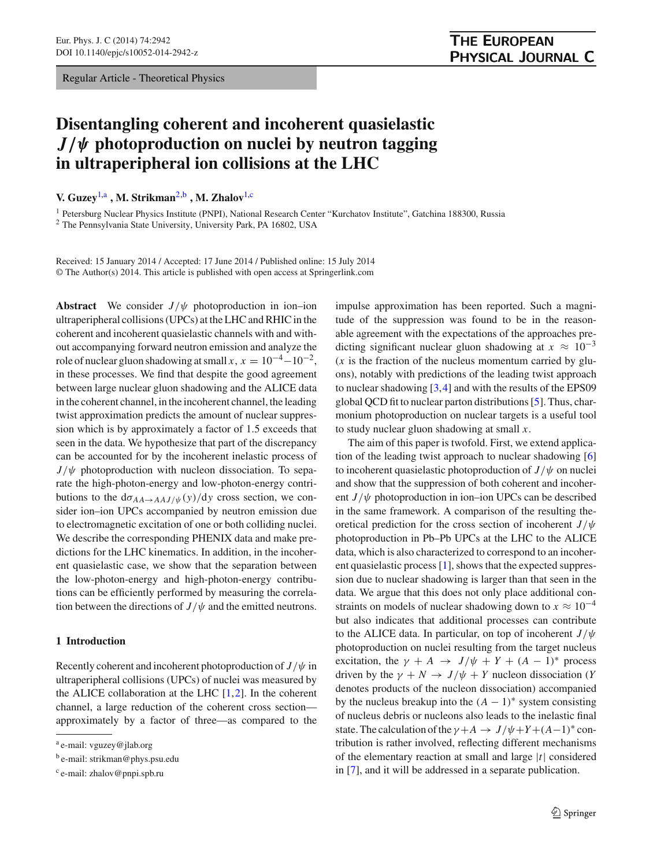Regular Article - Theoretical Physics

# **Disentangling coherent and incoherent quasielastic** *J/ψ* **photoproduction on nuclei by neutron tagging in ultraperipheral ion collisions at the LHC**

**V. Guzey**[1,](#page-0-0)a **, M. Strikman**[2,](#page-0-0)b **, M. Zhalov**[1,](#page-0-0)c

<sup>1</sup> Petersburg Nuclear Physics Institute (PNPI), National Research Center "Kurchatov Institute", Gatchina 188300, Russia

<sup>2</sup> The Pennsylvania State University, University Park, PA 16802, USA

Received: 15 January 2014 / Accepted: 17 June 2014 / Published online: 15 July 2014 © The Author(s) 2014. This article is published with open access at Springerlink.com

**Abstract** We consider  $J/\psi$  photoproduction in ion–ion ultraperipheral collisions (UPCs) at the LHC and RHIC in the coherent and incoherent quasielastic channels with and without accompanying forward neutron emission and analyze the role of nuclear gluon shadowing at small *x*,  $x = 10^{-4} - 10^{-2}$ , in these processes. We find that despite the good agreement between large nuclear gluon shadowing and the ALICE data in the coherent channel, in the incoherent channel, the leading twist approximation predicts the amount of nuclear suppression which is by approximately a factor of 1.5 exceeds that seen in the data. We hypothesize that part of the discrepancy can be accounted for by the incoherent inelastic process of  $J/\psi$  photoproduction with nucleon dissociation. To separate the high-photon-energy and low-photon-energy contributions to the  $d\sigma_{AA\to AAJ/\psi}(y)/dy$  cross section, we consider ion–ion UPCs accompanied by neutron emission due to electromagnetic excitation of one or both colliding nuclei. We describe the corresponding PHENIX data and make predictions for the LHC kinematics. In addition, in the incoherent quasielastic case, we show that the separation between the low-photon-energy and high-photon-energy contributions can be efficiently performed by measuring the correlation between the directions of  $J/\psi$  and the emitted neutrons.

#### **1 Introduction**

Recently coherent and incoherent photoproduction of  $J/\psi$  in ultraperipheral collisions (UPCs) of nuclei was measured by the ALICE collaboration at the LHC  $[1,2]$  $[1,2]$  $[1,2]$ . In the coherent channel, a large reduction of the coherent cross section approximately by a factor of three—as compared to the

<span id="page-0-0"></span>impulse approximation has been reported. Such a magnitude of the suppression was found to be in the reasonable agreement with the expectations of the approaches predicting significant nuclear gluon shadowing at  $x \approx 10^{-3}$ (*x* is the fraction of the nucleus momentum carried by gluons), notably with predictions of the leading twist approach to nuclear shadowing [\[3,](#page-12-2)[4\]](#page-12-3) and with the results of the EPS09 global QCD fit to nuclear parton distributions [\[5](#page-12-4)]. Thus, charmonium photoproduction on nuclear targets is a useful tool to study nuclear gluon shadowing at small *x*.

The aim of this paper is twofold. First, we extend application of the leading twist approach to nuclear shadowing [\[6\]](#page-12-5) to incoherent quasielastic photoproduction of  $J/\psi$  on nuclei and show that the suppression of both coherent and incoherent  $J/\psi$  photoproduction in ion–ion UPCs can be described in the same framework. A comparison of the resulting theoretical prediction for the cross section of incoherent *J*/ψ photoproduction in Pb–Pb UPCs at the LHC to the ALICE data, which is also characterized to correspond to an incoherent quasielastic process [\[1](#page-12-0)], shows that the expected suppression due to nuclear shadowing is larger than that seen in the data. We argue that this does not only place additional constraints on models of nuclear shadowing down to  $x \approx 10^{-4}$ but also indicates that additional processes can contribute to the ALICE data. In particular, on top of incoherent *J*/ψ photoproduction on nuclei resulting from the target nucleus excitation, the  $\gamma + A \rightarrow J/\psi + Y + (A - 1)^*$  process driven by the  $\gamma + N \rightarrow J/\psi + Y$  nucleon dissociation (*Y* denotes products of the nucleon dissociation) accompanied by the nucleus breakup into the  $(A - 1)$ <sup>\*</sup> system consisting of nucleus debris or nucleons also leads to the inelastic final state. The calculation of the  $\gamma + A \rightarrow J/\psi + Y + (A-1)^*$  contribution is rather involved, reflecting different mechanisms of the elementary reaction at small and large |*t*| considered in [\[7\]](#page-12-6), and it will be addressed in a separate publication.

<sup>a</sup> e-mail: vguzey@jlab.org

<sup>b</sup> e-mail: strikman@phys.psu.edu

<sup>c</sup> e-mail: zhalov@pnpi.spb.ru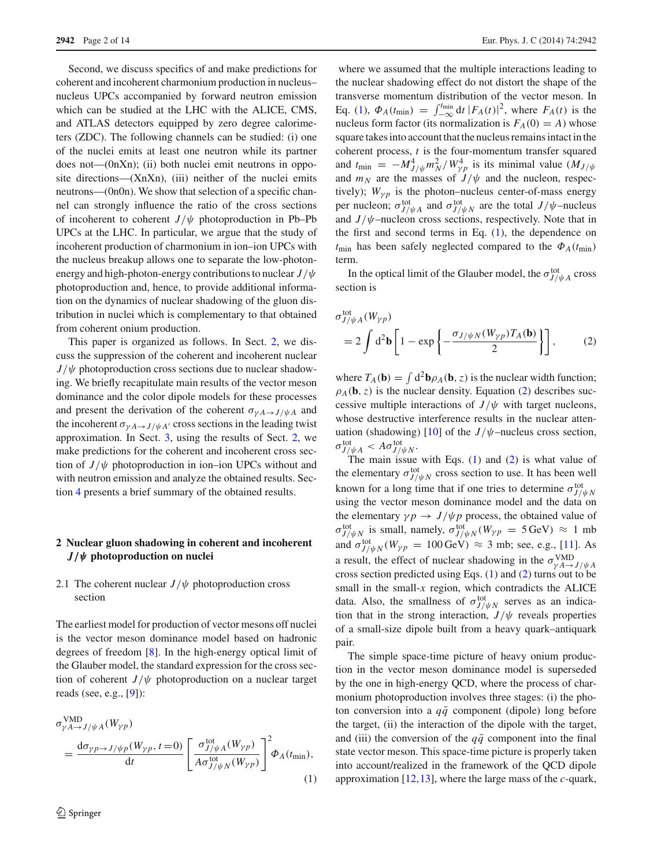Second, we discuss specifics of and make predictions for coherent and incoherent charmonium production in nucleus– nucleus UPCs accompanied by forward neutron emission which can be studied at the LHC with the ALICE, CMS, and ATLAS detectors equipped by zero degree calorimeters (ZDC). The following channels can be studied: (i) one of the nuclei emits at least one neutron while its partner does not—(0nXn); (ii) both nuclei emit neutrons in opposite directions—(XnXn), (iii) neither of the nuclei emits neutrons—(0n0n). We show that selection of a specific channel can strongly influence the ratio of the cross sections of incoherent to coherent  $J/\psi$  photoproduction in Pb–Pb UPCs at the LHC. In particular, we argue that the study of incoherent production of charmonium in ion–ion UPCs with the nucleus breakup allows one to separate the low-photonenergy and high-photon-energy contributions to nuclear *J*/ψ photoproduction and, hence, to provide additional information on the dynamics of nuclear shadowing of the gluon distribution in nuclei which is complementary to that obtained from coherent onium production.

This paper is organized as follows. In Sect. [2,](#page-1-0) we discuss the suppression of the coherent and incoherent nuclear  $J/\psi$  photoproduction cross sections due to nuclear shadowing. We briefly recapitulate main results of the vector meson dominance and the color dipole models for these processes and present the derivation of the coherent  $\sigma_{\gamma A \to J/\psi A}$  and the incoherent  $\sigma_{\gamma A \to J/\psi A'}$  cross sections in the leading twist approximation. In Sect. [3,](#page-6-0) using the results of Sect. [2,](#page-1-0) we make predictions for the coherent and incoherent cross section of  $J/\psi$  photoproduction in ion–ion UPCs without and with neutron emission and analyze the obtained results. Section [4](#page-11-0) presents a brief summary of the obtained results.

# <span id="page-1-0"></span>**2 Nuclear gluon shadowing in coherent and incoherent** *J/ψ* **photoproduction on nuclei**

# <span id="page-1-3"></span>2.1 The coherent nuclear  $J/\psi$  photoproduction cross section

The earliest model for production of vector mesons off nuclei is the vector meson dominance model based on hadronic degrees of freedom [\[8\]](#page-12-8). In the high-energy optical limit of the Glauber model, the standard expression for the cross section of coherent  $J/\psi$  photoproduction on a nuclear target reads (see, e.g., [\[9](#page-12-9)]):

<span id="page-1-1"></span>
$$
\sigma_{\gamma A \to J/\psi A}^{\text{VMD}}(W_{\gamma p}) = \frac{\mathrm{d}\sigma_{\gamma p \to J/\psi p}(W_{\gamma p}, t=0)}{\mathrm{d}t} \left[ \frac{\sigma_{J/\psi A}^{\text{tot}}(W_{\gamma p})}{A \sigma_{J/\psi N}^{\text{tot}}(W_{\gamma p})} \right]^2 \Phi_A(t_{\text{min}}),
$$
\n(1)

where we assumed that the multiple interactions leading to the nuclear shadowing effect do not distort the shape of the transverse momentum distribution of the vector meson. In Eq. [\(1\)](#page-1-1),  $\Phi_A(t_{\text{min}}) = \int_{-\infty}^{t_{\text{min}}} dt |F_A(t)|^2$ , where  $F_A(t)$  is the nucleus form factor (its normalization is  $F_A(0) = A$ ) whose square takes into account that the nucleus remains intact in the coherent process, *t* is the four-momentum transfer squared and  $t_{\text{min}} = -M_{J/\psi}^4 m_N^2 / W_{\gamma p}^4$  is its minimal value  $(M_{J/\psi}$ and  $m_N$  are the masses of  $J/\psi$  and the nucleon, respectively);  $W_{\gamma p}$  is the photon–nucleus center-of-mass energy per nucleon;  $\sigma_{J/\psi A}^{\text{tot}}$  and  $\sigma_{J/\psi N}^{\text{tot}}$  are the total  $J/\psi$ –nucleus and  $J/\psi$ -nucleon cross sections, respectively. Note that in the first and second terms in Eq. [\(1\)](#page-1-1), the dependence on  $t_{\text{min}}$  has been safely neglected compared to the  $\Phi_A(t_{\text{min}})$ term.

In the optical limit of the Glauber model, the  $\sigma_{J/\psi A}^{tot}$  cross section is

<span id="page-1-2"></span>
$$
\sigma_{J/\psi A}^{\text{tot}}(W_{\gamma p})
$$
  
= 2 \int d^2 \mathbf{b} \left[ 1 - \exp \left\{ -\frac{\sigma\_{J/\psi N}(W\_{\gamma p}) T\_A(\mathbf{b})}{2} \right\} \right], \quad (2)

where  $T_A(\mathbf{b}) = \int d^2 \mathbf{b} \rho_A(\mathbf{b}, z)$  is the nuclear width function;  $\rho_A(\mathbf{b}, z)$  is the nuclear density. Equation [\(2\)](#page-1-2) describes successive multiple interactions of  $J/\psi$  with target nucleons, whose destructive interference results in the nuclear atten-uation (shadowing) [\[10\]](#page-13-0) of the  $J/\psi$ –nucleus cross section,  $\sigma_{J/\psi A}^{\rm tot} < A \sigma_{J/\psi N}^{\rm tot}$ .

The main issue with Eqs.  $(1)$  and  $(2)$  is what value of the elementary  $\sigma_{J/\psi N}^{\text{tot}}$  cross section to use. It has been well known for a long time that if one tries to determine  $\sigma_{J/\psi N}^{\text{tot}}$ using the vector meson dominance model and the data on the elementary  $\gamma p \rightarrow J/\psi p$  process, the obtained value of  $\sigma_{J/\psi N}^{\text{tot}}$  is small, namely,  $\sigma_{J/\psi N}^{\text{tot}}(W_{\gamma p} = 5 \,\text{GeV}) \approx 1 \text{ mb}$ and  $\sigma_{J/\psi N}^{tot}(W_{\gamma p} = 100 \,\text{GeV}) \approx 3 \text{ mb}$ ; see, e.g., [\[11](#page-13-1)]. As a result, the effect of nuclear shadowing in the  $\sigma_{\gamma A \to J/\psi A}^{\text{VMD}}$ cross section predicted using Eqs. [\(1\)](#page-1-1) and [\(2\)](#page-1-2) turns out to be small in the small- $x$  region, which contradicts the ALICE data. Also, the smallness of  $\sigma_{J/\psi N}^{tot}$  serves as an indication that in the strong interaction,  $J/\psi$  reveals properties of a small-size dipole built from a heavy quark–antiquark pair.

The simple space-time picture of heavy onium production in the vector meson dominance model is superseded by the one in high-energy QCD, where the process of charmonium photoproduction involves three stages: (i) the photon conversion into a  $q\bar{q}$  component (dipole) long before the target, (ii) the interaction of the dipole with the target, and (iii) the conversion of the  $q\bar{q}$  component into the final state vector meson. This space-time picture is properly taken into account/realized in the framework of the QCD dipole approximation [\[12](#page-13-2)[,13](#page-13-3)], where the large mass of the *c*-quark,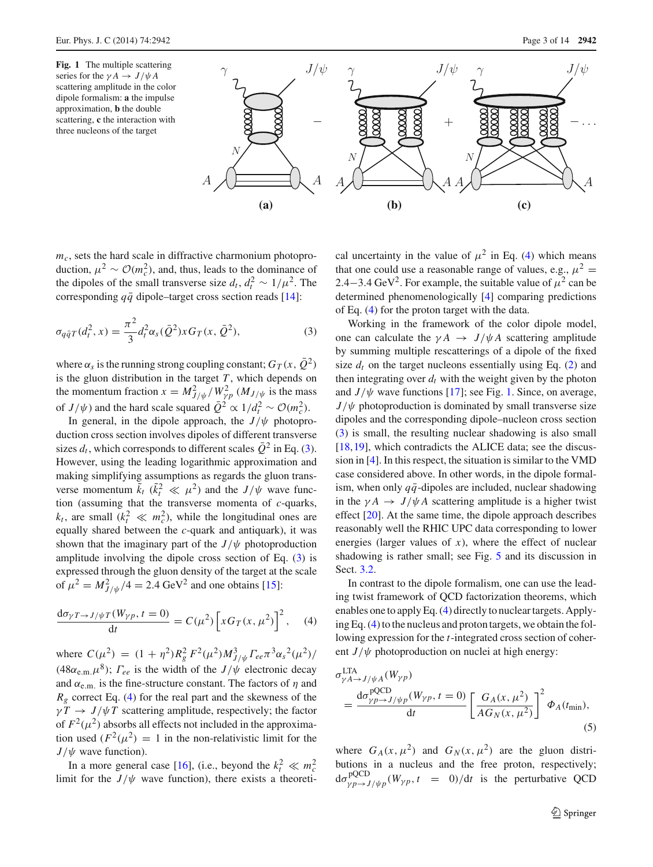<span id="page-2-2"></span>

 $m<sub>c</sub>$ , sets the hard scale in diffractive charmonium photoproduction,  $\mu^2 \sim \mathcal{O}(m_c^2)$ , and, thus, leads to the dominance of the dipoles of the small transverse size  $d_t$ ,  $d_t^2 \sim 1/\mu^2$ . The corresponding  $q\bar{q}$  dipole–target cross section reads [\[14\]](#page-13-4):

<span id="page-2-0"></span>
$$
\sigma_{q\bar{q}T}(d_t^2, x) = \frac{\pi^2}{3} d_t^2 \alpha_s(\bar{Q}^2) x G_T(x, \bar{Q}^2), \tag{3}
$$

where  $\alpha_s$  is the running strong coupling constant;  $G_T(x, \overline{Q}^2)$ is the gluon distribution in the target  $T$ , which depends on the momentum fraction  $x = M_{J/\psi}^2 / W_{\gamma p}^2$  ( $M_{J/\psi}$  is the mass of *J*/ $\psi$ ) and the hard scale squared  $\overline{Q}^2 \propto 1/d_t^2 \sim \mathcal{O}(m_c^2)$ .

In general, in the dipole approach, the  $J/\psi$  photoproduction cross section involves dipoles of different transverse sizes  $d_t$ , which corresponds to different scales  $\overline{Q}^2$  in Eq. [\(3\)](#page-2-0). However, using the leading logarithmic approximation and making simplifying assumptions as regards the gluon transverse momentum  $\tilde{k}_t$  ( $\tilde{k}_t^2 \ll \mu^2$ ) and the *J*/ $\psi$  wave function (assuming that the transverse momenta of *c*-quarks,  $k_t$ , are small  $(k_t^2 \ll m_c^2)$ , while the longitudinal ones are equally shared between the *c*-quark and antiquark), it was shown that the imaginary part of the  $J/\psi$  photoproduction amplitude involving the dipole cross section of Eq. [\(3\)](#page-2-0) is expressed through the gluon density of the target at the scale of  $\mu^2 = M_{J/\psi}^2/4 = 2.4 \text{ GeV}^2$  and one obtains [\[15](#page-13-5)]:

<span id="page-2-1"></span>
$$
\frac{d\sigma_{\gamma T \to J/\psi T}(W_{\gamma p}, t=0)}{dt} = C(\mu^2) \left[ x G_T(x, \mu^2) \right]^2, \quad (4)
$$

where  $C(\mu^2) = (1 + \eta^2)R_g^2 F^2(\mu^2)M_{J/\psi}^3 F_{ee} \pi^3 \alpha_s^2(\mu^2)/$ (48 $\alpha_{e.m.}\mu^8$ );  $\Gamma_{ee}$  is the width of the  $J/\psi$  electronic decay and  $\alpha_{e.m.}$  is the fine-structure constant. The factors of  $\eta$  and  $R_g$  correct Eq. [\(4\)](#page-2-1) for the real part and the skewness of the  $\gamma T \rightarrow J/\psi T$  scattering amplitude, respectively; the factor of  $F^2(\mu^2)$  absorbs all effects not included in the approximation used  $(F^2(\mu^2) = 1$  in the non-relativistic limit for the  $J/\psi$  wave function).

In a more general case [\[16\]](#page-13-6), (i.e., beyond the  $k_t^2 \ll m_c^2$ limit for the  $J/\psi$  wave function), there exists a theoretical uncertainty in the value of  $\mu^2$  in Eq. [\(4\)](#page-2-1) which means that one could use a reasonable range of values, e.g.,  $\mu^2 =$ 2.4−3.4 GeV<sup>2</sup>. For example, the suitable value of  $\mu^2$  can be determined phenomenologically [\[4](#page-12-3)] comparing predictions of Eq. [\(4\)](#page-2-1) for the proton target with the data.

Working in the framework of the color dipole model, one can calculate the  $\gamma A \rightarrow J/\psi A$  scattering amplitude by summing multiple rescatterings of a dipole of the fixed size  $d_t$  on the target nucleons essentially using Eq.  $(2)$  and then integrating over  $d_t$  with the weight given by the photon and  $J/\psi$  wave functions [\[17](#page-13-7)]; see Fig. [1.](#page-2-2) Since, on average,  $J/\psi$  photoproduction is dominated by small transverse size dipoles and the corresponding dipole–nucleon cross section [\(3\)](#page-2-0) is small, the resulting nuclear shadowing is also small [\[18](#page-13-8),[19\]](#page-13-9), which contradicts the ALICE data; see the discussion in [\[4\]](#page-12-3). In this respect, the situation is similar to the VMD case considered above. In other words, in the dipole formalism, when only  $q\bar{q}$ -dipoles are included, nuclear shadowing in the  $\gamma A \rightarrow J/\psi A$  scattering amplitude is a higher twist effect [\[20](#page-13-10)]. At the same time, the dipole approach describes reasonably well the RHIC UPC data corresponding to lower energies (larger values of *x*), where the effect of nuclear shadowing is rather small; see Fig. [5](#page-10-0) and its discussion in Sect. [3.2.](#page-8-0)

In contrast to the dipole formalism, one can use the leading twist framework of QCD factorization theorems, which enables one to apply Eq. [\(4\)](#page-2-1) directly to nuclear targets. Applying Eq. [\(4\)](#page-2-1) to the nucleus and proton targets, we obtain the following expression for the *t*-integrated cross section of coherent  $J/\psi$  photoproduction on nuclei at high energy:

<span id="page-2-3"></span>
$$
\sigma_{\gamma A \to J/\psi A}^{\text{LTA}}(W_{\gamma p})
$$
\n
$$
= \frac{\mathrm{d}\sigma_{\gamma p \to J/\psi p}^{\text{pQCD}}(W_{\gamma p}, t=0)}{\mathrm{d}t} \left[ \frac{G_A(x, \mu^2)}{AG_N(x, \mu^2)} \right]^2 \Phi_A(t_{\text{min}}),
$$
\n(5)

where  $G_A(x, \mu^2)$  and  $G_N(x, \mu^2)$  are the gluon distributions in a nucleus and the free proton, respectively;  $d\sigma_{\gamma p \to J/\psi p}^{\text{pQCD}}(W_{\gamma p}, t = 0)/dt$  is the perturbative QCD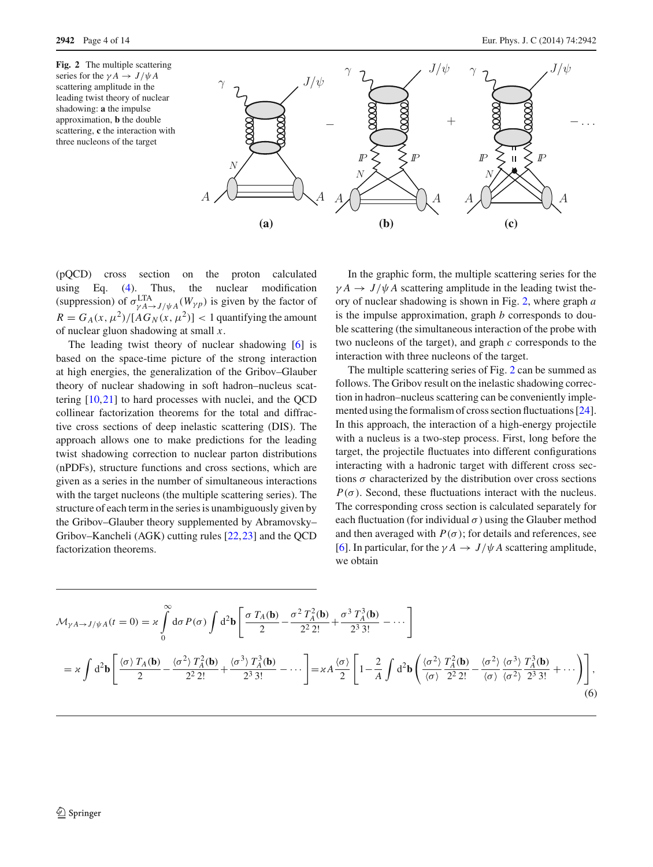<span id="page-3-0"></span>

(pQCD) cross section on the proton calculated using Eq. [\(4\)](#page-2-1). Thus, the nuclear modification (suppression) of  $\sigma_{\gamma A \to J/\psi A}^{\text{LTA}}(W_{\gamma p})$  is given by the factor of  $R = G_A(x, \mu^2)/[AG_N(x, \mu^2)] < 1$  quantifying the amount of nuclear gluon shadowing at small *x*.

The leading twist theory of nuclear shadowing [\[6](#page-12-5)] is based on the space-time picture of the strong interaction at high energies, the generalization of the Gribov–Glauber theory of nuclear shadowing in soft hadron–nucleus scattering [\[10](#page-13-0)[,21](#page-13-11)] to hard processes with nuclei, and the QCD collinear factorization theorems for the total and diffractive cross sections of deep inelastic scattering (DIS). The approach allows one to make predictions for the leading twist shadowing correction to nuclear parton distributions (nPDFs), structure functions and cross sections, which are given as a series in the number of simultaneous interactions with the target nucleons (the multiple scattering series). The structure of each term in the series is unambiguously given by the Gribov–Glauber theory supplemented by Abramovsky– Gribov–Kancheli (AGK) cutting rules [\[22](#page-13-12)[,23](#page-13-13)] and the QCD factorization theorems.

In the graphic form, the multiple scattering series for the  $\gamma A \rightarrow J/\psi A$  scattering amplitude in the leading twist theory of nuclear shadowing is shown in Fig. [2,](#page-3-0) where graph *a* is the impulse approximation, graph *b* corresponds to double scattering (the simultaneous interaction of the probe with two nucleons of the target), and graph *c* corresponds to the interaction with three nucleons of the target.

The multiple scattering series of Fig. [2](#page-3-0) can be summed as follows. The Gribov result on the inelastic shadowing correction in hadron–nucleus scattering can be conveniently implemented using the formalism of cross section fluctuations [\[24](#page-13-14)]. In this approach, the interaction of a high-energy projectile with a nucleus is a two-step process. First, long before the target, the projectile fluctuates into different configurations interacting with a hadronic target with different cross sections  $\sigma$  characterized by the distribution over cross sections  $P(\sigma)$ . Second, these fluctuations interact with the nucleus. The corresponding cross section is calculated separately for each fluctuation (for individual  $\sigma$ ) using the Glauber method and then averaged with  $P(\sigma)$ ; for details and references, see [\[6](#page-12-5)]. In particular, for the  $\gamma A \rightarrow J/\psi A$  scattering amplitude, we obtain

<span id="page-3-1"></span>
$$
\mathcal{M}_{\gamma A \to J/\psi A}(t=0) = \kappa \int_{0}^{\infty} d\sigma P(\sigma) \int d^{2} \mathbf{b} \left[ \frac{\sigma T_{A}(\mathbf{b})}{2} - \frac{\sigma^{2} T_{A}^{2}(\mathbf{b})}{2^{2} 2!} + \frac{\sigma^{3} T_{A}^{3}(\mathbf{b})}{2^{3} 3!} - \cdots \right]
$$
  
=  $\kappa \int d^{2} \mathbf{b} \left[ \frac{\langle \sigma \rangle T_{A}(\mathbf{b})}{2} - \frac{\langle \sigma^{2} \rangle T_{A}^{2}(\mathbf{b})}{2^{2} 2!} + \frac{\langle \sigma^{3} \rangle T_{A}^{3}(\mathbf{b})}{2^{3} 3!} - \cdots \right] = \kappa A \frac{\langle \sigma \rangle}{2} \left[ 1 - \frac{2}{A} \int d^{2} \mathbf{b} \left( \frac{\langle \sigma^{2} \rangle T_{A}^{2}(\mathbf{b})}{\langle \sigma \rangle} - \frac{\langle \sigma^{2} \rangle}{2^{2} 2!} \frac{T_{A}^{3}(\mathbf{b})}{\langle \sigma^{2} \rangle} + \cdots \right) \right],$  (6)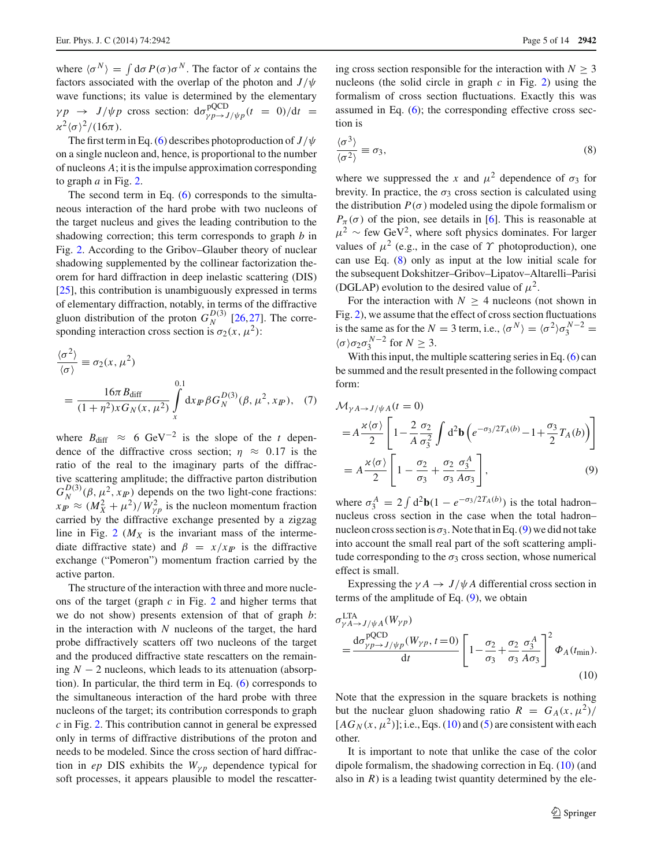where  $\langle \sigma^N \rangle = \int d\sigma P(\sigma) \sigma^N$ . The factor of  $\alpha$  contains the factors associated with the overlap of the photon and *J*/ψ wave functions; its value is determined by the elementary  $\gamma p \rightarrow J/\psi p$  cross section:  $d\sigma_{\gamma p \rightarrow J/\psi p}^{\text{QCD}}(t = 0)/dt =$  $\alpha^2 \langle \sigma \rangle^2 / (16\pi)$ .

The first term in Eq. [\(6\)](#page-3-1) describes photoproduction of  $J/\psi$ on a single nucleon and, hence, is proportional to the number of nucleons *A*; it is the impulse approximation corresponding to graph *a* in Fig. [2.](#page-3-0)

The second term in Eq. [\(6\)](#page-3-1) corresponds to the simultaneous interaction of the hard probe with two nucleons of the target nucleus and gives the leading contribution to the shadowing correction; this term corresponds to graph *b* in Fig. [2.](#page-3-0) According to the Gribov–Glauber theory of nuclear shadowing supplemented by the collinear factorization theorem for hard diffraction in deep inelastic scattering (DIS) [\[25](#page-13-15)], this contribution is unambiguously expressed in terms of elementary diffraction, notably, in terms of the diffractive gluon distribution of the proton  $G_N^{D(3)}$  [\[26](#page-13-16)[,27](#page-13-17)]. The corresponding interaction cross section is  $\sigma_2(x, \mu^2)$ :

<span id="page-4-3"></span>
$$
\frac{\langle \sigma^2 \rangle}{\langle \sigma \rangle} \equiv \sigma_2(x, \mu^2)
$$
  
= 
$$
\frac{16\pi B_{\text{diff}}}{(1 + \eta^2)xG_N(x, \mu^2)} \int_x^{0.1} dx_{IP} \beta G_N^{D(3)}(\beta, \mu^2, x_{IP}), \quad (7)
$$

where  $B_{\text{diff}} \approx 6 \text{ GeV}^{-2}$  is the slope of the *t* dependence of the diffractive cross section;  $\eta \approx 0.17$  is the ratio of the real to the imaginary parts of the diffractive scattering amplitude; the diffractive parton distribution  $G_N^{D(3)}(\beta, \mu^2, x_{I\!P})$  depends on the two light-cone fractions:  $x_{IP} \approx (M_X^2 + \mu^2)/W_{\gamma p}^2$  is the nucleon momentum fraction carried by the diffractive exchange presented by a zigzag line in Fig. [2](#page-3-0)  $(M_X)$  is the invariant mass of the intermediate diffractive state) and  $\beta = x/x_p$  is the diffractive exchange ("Pomeron") momentum fraction carried by the active parton.

The structure of the interaction with three and more nucleons of the target (graph *c* in Fig. [2](#page-3-0) and higher terms that we do not show) presents extension of that of graph *b*: in the interaction with *N* nucleons of the target, the hard probe diffractively scatters off two nucleons of the target and the produced diffractive state rescatters on the remaining  $N - 2$  nucleons, which leads to its attenuation (absorption). In particular, the third term in Eq. [\(6\)](#page-3-1) corresponds to the simultaneous interaction of the hard probe with three nucleons of the target; its contribution corresponds to graph *c* in Fig. [2.](#page-3-0) This contribution cannot in general be expressed only in terms of diffractive distributions of the proton and needs to be modeled. Since the cross section of hard diffraction in *ep* DIS exhibits the  $W_{\gamma p}$  dependence typical for soft processes, it appears plausible to model the rescattering cross section responsible for the interaction with  $N > 3$ nucleons (the solid circle in graph *c* in Fig. [2\)](#page-3-0) using the formalism of cross section fluctuations. Exactly this was assumed in Eq.  $(6)$ ; the corresponding effective cross section is

<span id="page-4-0"></span>
$$
\frac{\langle \sigma^3 \rangle}{\langle \sigma^2 \rangle} \equiv \sigma_3,\tag{8}
$$

where we suppressed the *x* and  $\mu^2$  dependence of  $\sigma_3$  for brevity. In practice, the  $\sigma_3$  cross section is calculated using the distribution  $P(\sigma)$  modeled using the dipole formalism or  $P_{\pi}(\sigma)$  of the pion, see details in [\[6](#page-12-5)]. This is reasonable at  $\mu^2 \sim$  few GeV<sup>2</sup>, where soft physics dominates. For larger values of  $\mu^2$  (e.g., in the case of  $\Upsilon$  photoproduction), one can use Eq. [\(8\)](#page-4-0) only as input at the low initial scale for the subsequent Dokshitzer–Gribov–Lipatov–Altarelli–Parisi (DGLAP) evolution to the desired value of  $\mu^2$ .

For the interaction with  $N \geq 4$  nucleons (not shown in Fig. [2\)](#page-3-0), we assume that the effect of cross section fluctuations is the same as for the *N* = 3 term, i.e.,  $\langle \sigma^N \rangle = \langle \sigma^2 \rangle \sigma_3^{N-2}$  $\langle \sigma \rangle \sigma_2 \sigma_3^{N-2}$  for  $N \geq 3$ .

With this input, the multiple scattering series in Eq. [\(6\)](#page-3-1) can be summed and the result presented in the following compact form:

<span id="page-4-1"></span>
$$
\mathcal{M}_{\gamma A \to J/\psi A}(t=0)
$$
\n
$$
= A \frac{\kappa \langle \sigma \rangle}{2} \left[ 1 - \frac{2}{A} \frac{\sigma_2}{\sigma_3^2} \int d^2 \mathbf{b} \left( e^{-\sigma_3/2T_A(b)} - 1 + \frac{\sigma_3}{2} T_A(b) \right) \right]
$$
\n
$$
= A \frac{\kappa \langle \sigma \rangle}{2} \left[ 1 - \frac{\sigma_2}{\sigma_3} + \frac{\sigma_2}{\sigma_3} \frac{\sigma_3^A}{A \sigma_3} \right],
$$
\n(9)

where  $\sigma_3^A = 2 \int d^2\mathbf{b} (1 - e^{-\sigma_3/2T_A(b)})$  is the total hadron– nucleus cross section in the case when the total hadron– nucleon cross section is  $\sigma_3$ . Note that in Eq. [\(9\)](#page-4-1) we did not take into account the small real part of the soft scattering amplitude corresponding to the  $\sigma_3$  cross section, whose numerical effect is small.

Expressing the  $\gamma A \rightarrow J/\psi A$  differential cross section in terms of the amplitude of Eq. [\(9\)](#page-4-1), we obtain

<span id="page-4-2"></span>
$$
\sigma_{\gamma A \to J/\psi A}^{\text{LTA}}(W_{\gamma p}) = \frac{\text{d}\sigma_{\gamma p \to J/\psi p}^{\text{QCD}}(W_{\gamma p}, t=0)}{\text{d}t} \left[1 - \frac{\sigma_2}{\sigma_3} + \frac{\sigma_2}{\sigma_3} \frac{\sigma_3^A}{A \sigma_3}\right]^2 \Phi_A(t_{\text{min}}). \tag{10}
$$

Note that the expression in the square brackets is nothing but the nuclear gluon shadowing ratio  $R = G_A(x, \mu^2)/$  $[AG_N(x, \mu^2)]$ ; i.e., Eqs. [\(10\)](#page-4-2) and [\(5\)](#page-2-3) are consistent with each other.

It is important to note that unlike the case of the color dipole formalism, the shadowing correction in Eq. [\(10\)](#page-4-2) (and also in  $R$ ) is a leading twist quantity determined by the ele-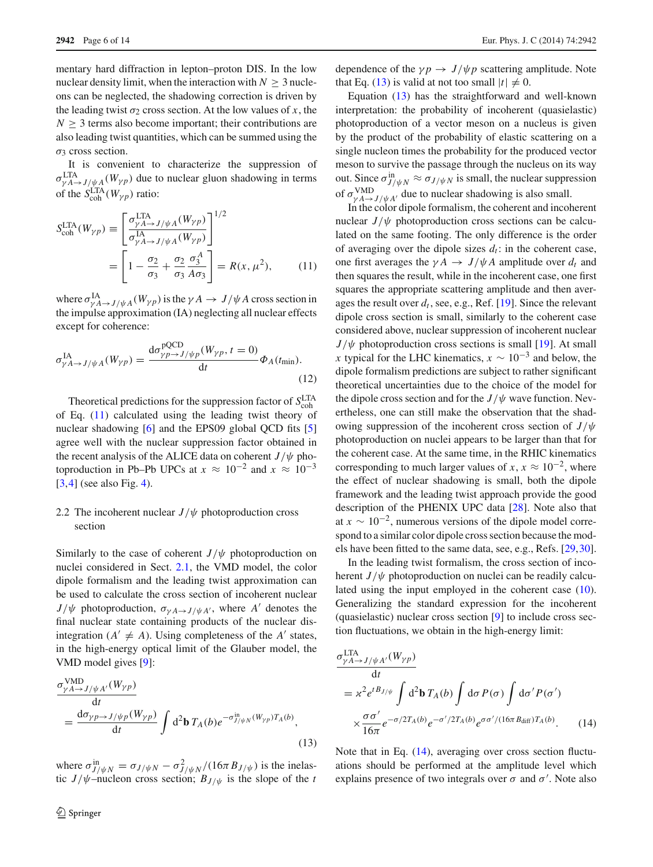mentary hard diffraction in lepton–proton DIS. In the low nuclear density limit, when the interaction with  $N > 3$  nucleons can be neglected, the shadowing correction is driven by the leading twist  $\sigma_2$  cross section. At the low values of *x*, the  $N > 3$  terms also become important; their contributions are also leading twist quantities, which can be summed using the σ<sup>3</sup> cross section.

It is convenient to characterize the suppression of  $\sigma_{\gamma A \to J/\psi A}^{\text{LTA}}(W_{\gamma p})$  due to nuclear gluon shadowing in terms of the  $S_{\text{coh}}^{\text{LTA}}(W_{\gamma p})$  ratio:

<span id="page-5-0"></span>
$$
S_{\text{coh}}^{\text{LTA}}(W_{\gamma p}) \equiv \left[ \frac{\sigma_{\gamma A \to J/\psi A}^{\text{LTA}}(W_{\gamma p})}{\sigma_{\gamma A \to J/\psi A}^{\text{IA}}(W_{\gamma p})} \right]^{1/2}
$$

$$
= \left[ 1 - \frac{\sigma_2}{\sigma_3} + \frac{\sigma_2}{\sigma_3} \frac{\sigma_3^A}{A \sigma_3} \right] = R(x, \mu^2), \quad (11)
$$

where  $\sigma_{\gamma A \to J/\psi A}^{IA}(W_{\gamma p})$  is the  $\gamma A \to J/\psi A$  cross section in the impulse approximation (IA) neglecting all nuclear effects except for coherence:

$$
\sigma_{\gamma A \to J/\psi A}^{\text{IA}}(W_{\gamma p}) = \frac{\text{d}\sigma_{\gamma p \to J/\psi p}^{\text{PQCD}}(W_{\gamma p}, t=0)}{\text{d}t} \Phi_A(t_{\text{min}}). \tag{12}
$$

Theoretical predictions for the suppression factor of  $S_{\text{coh}}^{\text{LTA}}$ of Eq. [\(11\)](#page-5-0) calculated using the leading twist theory of nuclear shadowing [\[6](#page-12-5)] and the EPS09 global QCD fits [\[5\]](#page-12-4) agree well with the nuclear suppression factor obtained in the recent analysis of the ALICE data on coherent  $J/\psi$  photoproduction in Pb–Pb UPCs at  $x \approx 10^{-2}$  and  $x \approx 10^{-3}$ [\[3](#page-12-2),[4\]](#page-12-3) (see also Fig. [4\)](#page-7-0).

# 2.2 The incoherent nuclear  $J/\psi$  photoproduction cross section

Similarly to the case of coherent  $J/\psi$  photoproduction on nuclei considered in Sect. [2.1,](#page-1-3) the VMD model, the color dipole formalism and the leading twist approximation can be used to calculate the cross section of incoherent nuclear  $J/\psi$  photoproduction,  $\sigma_{\gamma A \to J/\psi A'}$ , where *A'* denotes the final nuclear state containing products of the nuclear disintegration  $(A' \neq A)$ . Using completeness of the *A'* states, in the high-energy optical limit of the Glauber model, the VMD model gives [\[9\]](#page-12-9):

<span id="page-5-1"></span>
$$
\frac{\sigma_{\gamma A \to J/\psi A'}^{\text{VMD}}(W_{\gamma p})}{dt} = \frac{d\sigma_{\gamma p \to J/\psi p}(W_{\gamma p})}{dt} \int d^2\mathbf{b} T_A(b) e^{-\sigma_{J/\psi N}^{\text{in}}(W_{\gamma p}) T_A(b)},
$$
\n(13)

where  $\sigma_{J/\psi N}^{\text{in}} = \sigma_{J/\psi N} - \sigma_{J/\psi N}^2/(16\pi B_{J/\psi})$  is the inelastic  $J/\psi$ -nucleon cross section;  $B_{J/\psi}$  is the slope of the *t* 

dependence of the  $\gamma p \rightarrow J/\psi p$  scattering amplitude. Note that Eq. [\(13\)](#page-5-1) is valid at not too small  $|t| \neq 0$ .

Equation [\(13\)](#page-5-1) has the straightforward and well-known interpretation: the probability of incoherent (quasielastic) photoproduction of a vector meson on a nucleus is given by the product of the probability of elastic scattering on a single nucleon times the probability for the produced vector meson to survive the passage through the nucleus on its way out. Since  $\sigma_{J/\psi N}^{in} \approx \sigma_{J/\psi N}$  is small, the nuclear suppression of  $\sigma_{\gamma A \to J/\psi A'}^{\text{VMD}}$  due to nuclear shadowing is also small.

In the color dipole formalism, the coherent and incoherent nuclear  $J/\psi$  photoproduction cross sections can be calculated on the same footing. The only difference is the order of averaging over the dipole sizes  $d_t$ : in the coherent case, one first averages the  $\gamma A \rightarrow J/\psi A$  amplitude over  $d_t$  and then squares the result, while in the incoherent case, one first squares the appropriate scattering amplitude and then averages the result over  $d_t$ , see, e.g., Ref. [\[19](#page-13-9)]. Since the relevant dipole cross section is small, similarly to the coherent case considered above, nuclear suppression of incoherent nuclear  $J/\psi$  photoproduction cross sections is small [\[19](#page-13-9)]. At small *x* typical for the LHC kinematics,  $x \sim 10^{-3}$  and below, the dipole formalism predictions are subject to rather significant theoretical uncertainties due to the choice of the model for the dipole cross section and for the  $J/\psi$  wave function. Nevertheless, one can still make the observation that the shadowing suppression of the incoherent cross section of *J*/ψ photoproduction on nuclei appears to be larger than that for the coherent case. At the same time, in the RHIC kinematics corresponding to much larger values of *x*,  $x \approx 10^{-2}$ , where the effect of nuclear shadowing is small, both the dipole framework and the leading twist approach provide the good description of the PHENIX UPC data [\[28\]](#page-13-18). Note also that at  $x \sim 10^{-2}$ , numerous versions of the dipole model correspond to a similar color dipole cross section because the models have been fitted to the same data, see, e.g., Refs. [\[29](#page-13-19)[,30](#page-13-20)].

In the leading twist formalism, the cross section of incoherent  $J/\psi$  photoproduction on nuclei can be readily calculated using the input employed in the coherent case [\(10\)](#page-4-2). Generalizing the standard expression for the incoherent (quasielastic) nuclear cross section [\[9](#page-12-9)] to include cross section fluctuations, we obtain in the high-energy limit:

<span id="page-5-2"></span>
$$
\sigma_{\gamma A \to J/\psi A'}^{\text{LTA}}(W_{\gamma p})
$$
\n
$$
= x^{2} e^{t B_{J/\psi}} \int d^{2} \mathbf{b} T_{A}(b) \int d\sigma P(\sigma) \int d\sigma' P(\sigma')
$$
\n
$$
\times \frac{\sigma \sigma'}{16\pi} e^{-\sigma/2T_{A}(b)} e^{-\sigma'/2T_{A}(b)} e^{\sigma \sigma'/(16\pi B_{\text{diff}})T_{A}(b)}.
$$
\n(14)

Note that in Eq. [\(14\)](#page-5-2), averaging over cross section fluctuations should be performed at the amplitude level which explains presence of two integrals over  $\sigma$  and  $\sigma'$ . Note also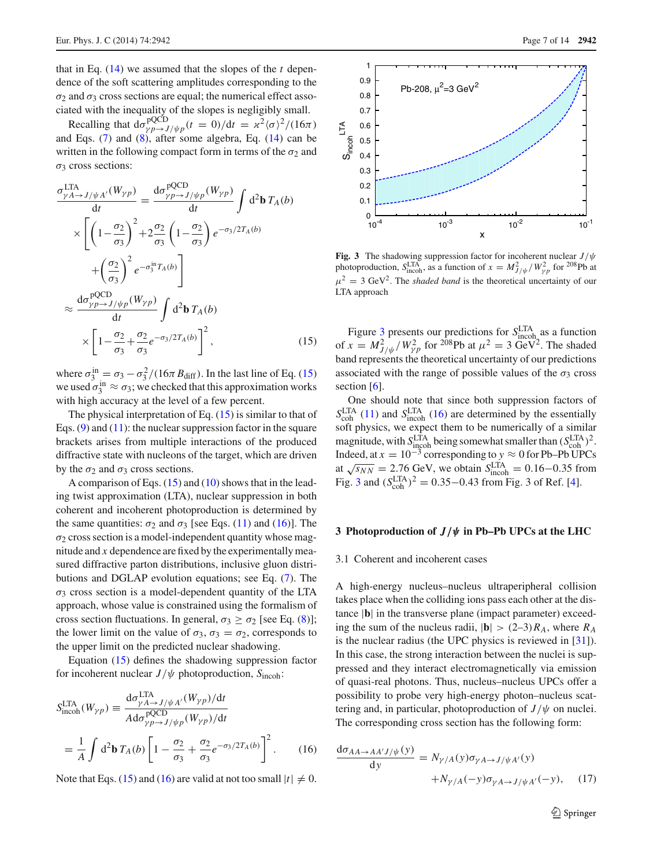that in Eq.  $(14)$  we assumed that the slopes of the *t* dependence of the soft scattering amplitudes corresponding to the  $σ<sub>2</sub>$  and  $σ<sub>3</sub>$  cross sections are equal; the numerical effect associated with the inequality of the slopes is negligibly small.

Recalling that  $d\sigma_{\gamma}^{\text{pQCD}}/ \psi_p(t=0)/dt = \frac{\varkappa^2 \langle \sigma \rangle^2}{(16\pi)^2}$ and Eqs. [\(7\)](#page-4-3) and [\(8\)](#page-4-0), after some algebra, Eq. [\(14\)](#page-5-2) can be written in the following compact form in terms of the  $\sigma_2$  and  $σ<sub>3</sub>$  cross sections:

<span id="page-6-1"></span>
$$
\frac{\sigma_{\gamma A \to J/\psi A'}^{\text{LTA}}(W_{\gamma p})}{\text{d}t} = \frac{\text{d}\sigma_{\gamma p \to J/\psi p}^{\text{pQCD}}(W_{\gamma p})}{\text{d}t} \int \text{d}^2 \mathbf{b} \, T_A(b)
$$

$$
\times \left[ \left( 1 - \frac{\sigma_2}{\sigma_3} \right)^2 + 2 \frac{\sigma_2}{\sigma_3} \left( 1 - \frac{\sigma_2}{\sigma_3} \right) e^{-\sigma_3/2T_A(b)}
$$

$$
+ \left( \frac{\sigma_2}{\sigma_3} \right)^2 e^{-\sigma_3^{in} T_A(b)} \right]
$$

$$
\approx \frac{\text{d}\sigma_{\gamma p \to J/\psi p}^{\text{pQCD}}(W_{\gamma p})}{\text{d}t} \int \text{d}^2 \mathbf{b} \, T_A(b)
$$

$$
\times \left[ 1 - \frac{\sigma_2}{\sigma_3} + \frac{\sigma_2}{\sigma_3} e^{-\sigma_3/2T_A(b)} \right]^2, \tag{15}
$$

where  $\sigma_3^{\text{in}} = \sigma_3 - \sigma_3^2/(16\pi B_{\text{diff}})$ . In the last line of Eq. [\(15\)](#page-6-1) we used  $\sigma_3^{\text{in}} \approx \sigma_3$ ; we checked that this approximation works with high accuracy at the level of a few percent.

The physical interpretation of Eq.  $(15)$  is similar to that of Eqs.  $(9)$  and  $(11)$ : the nuclear suppression factor in the square brackets arises from multiple interactions of the produced diffractive state with nucleons of the target, which are driven by the  $\sigma_2$  and  $\sigma_3$  cross sections.

A comparison of Eqs. [\(15\)](#page-6-1) and [\(10\)](#page-4-2) shows that in the leading twist approximation (LTA), nuclear suppression in both coherent and incoherent photoproduction is determined by the same quantities:  $\sigma_2$  and  $\sigma_3$  [see Eqs. [\(11\)](#page-5-0) and [\(16\)](#page-6-2)]. The  $\sigma_2$  cross section is a model-independent quantity whose magnitude and *x* dependence are fixed by the experimentally measured diffractive parton distributions, inclusive gluon distributions and DGLAP evolution equations; see Eq. [\(7\)](#page-4-3). The  $\sigma_3$  cross section is a model-dependent quantity of the LTA approach, whose value is constrained using the formalism of cross section fluctuations. In general,  $\sigma_3 \ge \sigma_2$  [see Eq. [\(8\)](#page-4-0)]; the lower limit on the value of  $\sigma_3$ ,  $\sigma_3 = \sigma_2$ , corresponds to the upper limit on the predicted nuclear shadowing.

Equation [\(15\)](#page-6-1) defines the shadowing suppression factor for incoherent nuclear *J*/ψ photoproduction, *S*incoh:

<span id="page-6-2"></span>
$$
S_{\text{incoh}}^{\text{LTA}}(W_{\gamma p}) \equiv \frac{\mathrm{d}\sigma_{\gamma A \to J/\psi A'}^{\text{LTA}}(W_{\gamma p})/\mathrm{d}t}{A \mathrm{d}\sigma_{\gamma p \to J/\psi p}^{\text{pQCD}}(W_{\gamma p})/\mathrm{d}t}
$$

$$
= \frac{1}{A} \int \mathrm{d}^2 \mathbf{b} \, T_A(b) \left[ 1 - \frac{\sigma_2}{\sigma_3} + \frac{\sigma_2}{\sigma_3} e^{-\sigma_3/2T_A(b)} \right]^2. \tag{16}
$$

Note that Eqs. [\(15\)](#page-6-1) and [\(16\)](#page-6-2) are valid at not too small  $|t| \neq 0$ .



<span id="page-6-3"></span>**Fig. 3** The shadowing suppression factor for incoherent nuclear *J*/ψ photoproduction,  $S_{\text{incoh}}^{\text{LTA}}$ , as a function of  $x = M_{J/\psi}^2 / W_{\gamma p}^2$  for <sup>208</sup>Pb at  $\mu^2 = 3 \text{ GeV}^2$ . The *shaded band* is the theoretical uncertainty of our LTA approach

Figure [3](#page-6-3) presents our predictions for *S*<sup>LTA</sup> as a function of  $x = M_{J/\psi}^2 / W_{\gamma p}^2$  for <sup>208</sup>Pb at  $\mu^2 = 3$  GeV<sup>2</sup>. The shaded band represents the theoretical uncertainty of our predictions associated with the range of possible values of the  $\sigma_3$  cross section  $[6]$  $[6]$ .

One should note that since both suppression factors of  $S_{\text{coh}}^{\text{LTA}}$  [\(11\)](#page-5-0) and  $S_{\text{incoh}}^{\text{LTA}}$  [\(16\)](#page-6-2) are determined by the essentially soft physics, we expect them to be numerically of a similar magnitude, with  $S_{\text{incoh}}^{\text{LTA}}$  being somewhat smaller than  $(S_{\text{coh}}^{\text{LTA}})^2$ . Indeed, at  $x = 10^{-3}$  corresponding to  $y \approx 0$  for Pb–Pb UPCs at  $\sqrt{s_{NN}} = 2.76$  GeV, we obtain  $S_{\text{incoh}}^{\text{LTA}} = 0.16 - 0.35$  from Fig. [3](#page-6-3) and  $(S_{\text{coh}}^{\text{LTA}})^2 = 0.35 - 0.43$  from Fig. 3 of Ref. [\[4](#page-12-3)].

#### <span id="page-6-0"></span>**3 Photoproduction of** *J/ψ* **in Pb–Pb UPCs at the LHC**

### <span id="page-6-5"></span>3.1 Coherent and incoherent cases

A high-energy nucleus–nucleus ultraperipheral collision takes place when the colliding ions pass each other at the distance |**b**| in the transverse plane (impact parameter) exceeding the sum of the nucleus radii,  $|\mathbf{b}| > (2-3)R_A$ , where  $R_A$ is the nuclear radius (the UPC physics is reviewed in [\[31](#page-13-21)]). In this case, the strong interaction between the nuclei is suppressed and they interact electromagnetically via emission of quasi-real photons. Thus, nucleus–nucleus UPCs offer a possibility to probe very high-energy photon–nucleus scattering and, in particular, photoproduction of  $J/\psi$  on nuclei. The corresponding cross section has the following form:

<span id="page-6-4"></span>
$$
\frac{d\sigma_{AA \to AA'J/\psi}(y)}{dy} = N_{\gamma/A}(y)\sigma_{\gamma A \to J/\psi A'}(y) + N_{\gamma/A}(-y)\sigma_{\gamma A \to J/\psi A'}(-y), \quad (17)
$$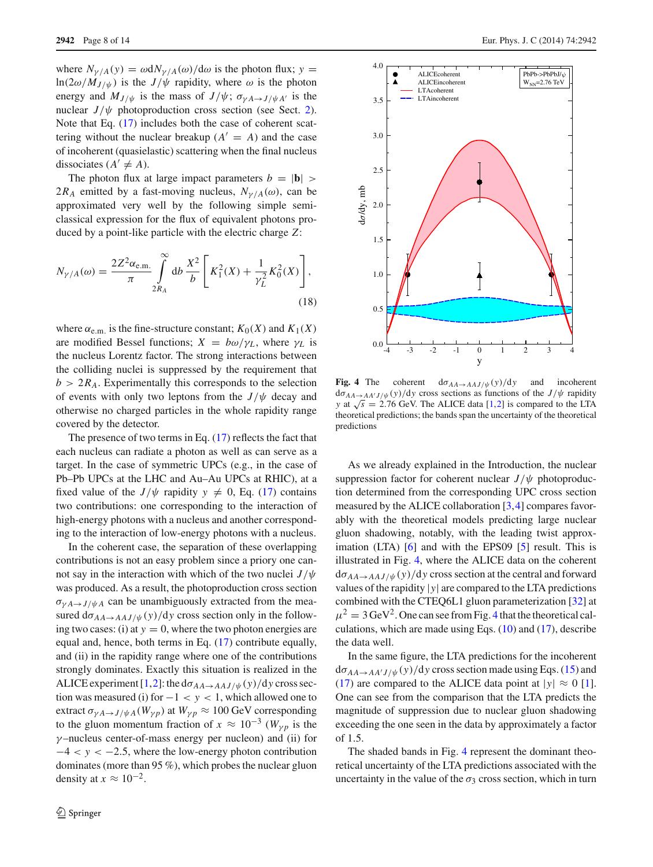where  $N_{\gamma/A}(y) = \omega dN_{\gamma/A}(\omega)/d\omega$  is the photon flux;  $y =$  $ln(2\omega/M_{J/\psi})$  is the  $J/\psi$  rapidity, where  $\omega$  is the photon energy and  $M_{J/\psi}$  is the mass of  $J/\psi$ ;  $\sigma_{\gamma A \to J/\psi A'}$  is the nuclear  $J/\psi$  photoproduction cross section (see Sect. [2\)](#page-1-0). Note that Eq. [\(17\)](#page-6-4) includes both the case of coherent scattering without the nuclear breakup  $(A' = A)$  and the case of incoherent (quasielastic) scattering when the final nucleus dissociates  $(A' \neq A)$ .

The photon flux at large impact parameters  $b = |\mathbf{b}| >$ 2 $R_A$  emitted by a fast-moving nucleus,  $N_{\gamma/A}(\omega)$ , can be approximated very well by the following simple semiclassical expression for the flux of equivalent photons produced by a point-like particle with the electric charge *Z*:

$$
N_{\gamma/A}(\omega) = \frac{2Z^2 \alpha_{\text{e.m.}}}{\pi} \int_{2R_A}^{\infty} \mathrm{d}b \, \frac{X^2}{b} \left[ K_1^2(X) + \frac{1}{\gamma_L^2} K_0^2(X) \right],\tag{18}
$$

where  $\alpha_{e,m}$  is the fine-structure constant;  $K_0(X)$  and  $K_1(X)$ are modified Bessel functions;  $X = b\omega/\gamma_L$ , where  $\gamma_L$  is the nucleus Lorentz factor. The strong interactions between the colliding nuclei is suppressed by the requirement that  $b > 2R_A$ . Experimentally this corresponds to the selection of events with only two leptons from the  $J/\psi$  decay and otherwise no charged particles in the whole rapidity range covered by the detector.

The presence of two terms in Eq. [\(17\)](#page-6-4) reflects the fact that each nucleus can radiate a photon as well as can serve as a target. In the case of symmetric UPCs (e.g., in the case of Pb–Pb UPCs at the LHC and Au–Au UPCs at RHIC), at a fixed value of the *J*/ $\psi$  rapidity  $y \neq 0$ , Eq. [\(17\)](#page-6-4) contains two contributions: one corresponding to the interaction of high-energy photons with a nucleus and another corresponding to the interaction of low-energy photons with a nucleus.

In the coherent case, the separation of these overlapping contributions is not an easy problem since a priory one cannot say in the interaction with which of the two nuclei  $J/\psi$ was produced. As a result, the photoproduction cross section  $\sigma_{\gamma A \to J/\psi A}$  can be unambiguously extracted from the measured  $d\sigma_{AA\to AAJ/\psi}(y)/dy$  cross section only in the following two cases: (i) at  $y = 0$ , where the two photon energies are equal and, hence, both terms in Eq. [\(17\)](#page-6-4) contribute equally, and (ii) in the rapidity range where one of the contributions strongly dominates. Exactly this situation is realized in the ALICE experiment  $[1,2]$  $[1,2]$  $[1,2]$ : the d $\sigma_{AA\rightarrow AAJ/\psi}(y)/dy$  cross section was measured (i) for  $-1 < y < 1$ , which allowed one to extract  $\sigma_{\gamma A \to J/\psi A}(W_{\gamma p})$  at  $W_{\gamma p} \approx 100$  GeV corresponding to the gluon momentum fraction of  $x \approx 10^{-3}$  ( $W_{\gamma p}$  is the  $\gamma$ -nucleus center-of-mass energy per nucleon) and (ii) for  $-4 < y < -2.5$ , where the low-energy photon contribution dominates (more than 95 %), which probes the nuclear gluon density at  $x \approx 10^{-2}$ .



<span id="page-7-0"></span>**Fig. 4** The coherent  $d\sigma_{AA\rightarrow AAJ/\psi}(y)/dy$  and incoherent  $d\sigma_{AA\to AA'J/\psi}(y)/dy$  cross sections as functions of the  $J/\psi$  rapidity *y* at  $\sqrt{s}$  = 2.76 GeV. The ALICE data [\[1](#page-12-0)[,2\]](#page-12-1) is compared to the LTA theoretical predictions; the bands span the uncertainty of the theoretical predictions

As we already explained in the Introduction, the nuclear suppression factor for coherent nuclear  $J/\psi$  photoproduction determined from the corresponding UPC cross section measured by the ALICE collaboration [\[3](#page-12-2)[,4](#page-12-3)] compares favorably with the theoretical models predicting large nuclear gluon shadowing, notably, with the leading twist approx-imation (LTA) [\[6](#page-12-5)] and with the EPS09 [\[5\]](#page-12-4) result. This is illustrated in Fig. [4,](#page-7-0) where the ALICE data on the coherent  $d\sigma_{AA\rightarrow AAJ/\psi}(y)/dy$  cross section at the central and forward values of the rapidity |*y*| are compared to the LTA predictions combined with the CTEQ6L1 gluon parameterization [\[32\]](#page-13-22) at  $\mu^2 = 3 \,\text{GeV}^2$ . One can see from Fig. [4](#page-7-0) that the theoretical calculations, which are made using Eqs.  $(10)$  and  $(17)$ , describe the data well.

In the same figure, the LTA predictions for the incoherent  $d\sigma_{AA\rightarrow AA'J/\psi}(y)/dy$  cross section made using Eqs. [\(15\)](#page-6-1) and [\(17\)](#page-6-4) are compared to the ALICE data point at  $|y| \approx 0$  [\[1](#page-12-0)]. One can see from the comparison that the LTA predicts the magnitude of suppression due to nuclear gluon shadowing exceeding the one seen in the data by approximately a factor of 1.5.

The shaded bands in Fig. [4](#page-7-0) represent the dominant theoretical uncertainty of the LTA predictions associated with the uncertainty in the value of the  $\sigma_3$  cross section, which in turn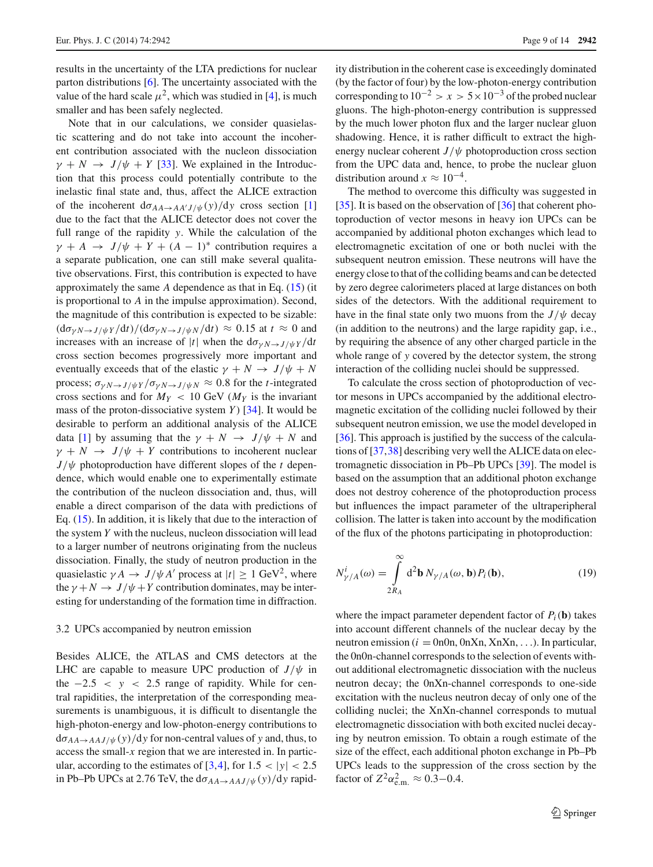results in the uncertainty of the LTA predictions for nuclear parton distributions [\[6](#page-12-5)]. The uncertainty associated with the value of the hard scale  $\mu^2$ , which was studied in [\[4](#page-12-3)], is much smaller and has been safely neglected.

Note that in our calculations, we consider quasielastic scattering and do not take into account the incoherent contribution associated with the nucleon dissociation  $\gamma + N \rightarrow J/\psi + Y$  [\[33\]](#page-13-23). We explained in the Introduction that this process could potentially contribute to the inelastic final state and, thus, affect the ALICE extraction of the incoherent  $d\sigma_{AA\to AA'J/\psi}(y)/dy$  cross section [\[1\]](#page-12-0) due to the fact that the ALICE detector does not cover the full range of the rapidity *y*. While the calculation of the  $\gamma + A \rightarrow J/\psi + Y + (A - 1)^*$  contribution requires a a separate publication, one can still make several qualitative observations. First, this contribution is expected to have approximately the same *A* dependence as that in Eq. [\(15\)](#page-6-1) (it is proportional to *A* in the impulse approximation). Second, the magnitude of this contribution is expected to be sizable:  $(d\sigma_{\gamma N \to J/\psi Y}/dt)/(d\sigma_{\gamma N \to J/\psi N}/dt) \approx 0.15$  at  $t \approx 0$  and increases with an increase of |*t*| when the  $d\sigma_{\gamma N \to J/\psi Y}/dt$ cross section becomes progressively more important and eventually exceeds that of the elastic  $\gamma + N \rightarrow J/\psi + N$ process;  $\sigma_{\gamma N \to J/\psi Y}/\sigma_{\gamma N \to J/\psi N} \approx 0.8$  for the *t*-integrated cross sections and for  $M_Y < 10$  GeV ( $M_Y$  is the invariant mass of the proton-dissociative system  $Y$  [\[34\]](#page-13-24). It would be desirable to perform an additional analysis of the ALICE data [\[1\]](#page-12-0) by assuming that the  $\gamma + N \rightarrow J/\psi + N$  and  $\gamma + N \rightarrow J/\psi + Y$  contributions to incoherent nuclear  $J/\psi$  photoproduction have different slopes of the *t* dependence, which would enable one to experimentally estimate the contribution of the nucleon dissociation and, thus, will enable a direct comparison of the data with predictions of Eq. [\(15\)](#page-6-1). In addition, it is likely that due to the interaction of the system *Y* with the nucleus, nucleon dissociation will lead to a larger number of neutrons originating from the nucleus dissociation. Finally, the study of neutron production in the quasielastic  $\gamma A \rightarrow J/\psi A'$  process at  $|t| \ge 1$  GeV<sup>2</sup>, where the  $\gamma + N \rightarrow J/\psi + Y$  contribution dominates, may be interesting for understanding of the formation time in diffraction.

#### <span id="page-8-0"></span>3.2 UPCs accompanied by neutron emission

Besides ALICE, the ATLAS and CMS detectors at the LHC are capable to measure UPC production of  $J/\psi$  in the  $-2.5 < y < 2.5$  range of rapidity. While for central rapidities, the interpretation of the corresponding measurements is unambiguous, it is difficult to disentangle the high-photon-energy and low-photon-energy contributions to  $d\sigma_{AA\rightarrow AAJ/\psi}(y)/dy$  for non-central values of y and, thus, to access the small-*x* region that we are interested in. In particular, according to the estimates of  $[3,4]$  $[3,4]$  $[3,4]$ , for  $1.5 < |y| < 2.5$ in Pb–Pb UPCs at 2.76 TeV, the  $d\sigma_{AA\rightarrow AAJ/\psi}(y)/dy$  rapidity distribution in the coherent case is exceedingly dominated (by the factor of four) by the low-photon-energy contribution corresponding to  $10^{-2} > x > 5 \times 10^{-3}$  of the probed nuclear gluons. The high-photon-energy contribution is suppressed by the much lower photon flux and the larger nuclear gluon shadowing. Hence, it is rather difficult to extract the highenergy nuclear coherent  $J/\psi$  photoproduction cross section from the UPC data and, hence, to probe the nuclear gluon distribution around  $x \approx 10^{-4}$ .

The method to overcome this difficulty was suggested in [\[35](#page-13-25)]. It is based on the observation of [\[36](#page-13-26)] that coherent photoproduction of vector mesons in heavy ion UPCs can be accompanied by additional photon exchanges which lead to electromagnetic excitation of one or both nuclei with the subsequent neutron emission. These neutrons will have the energy close to that of the colliding beams and can be detected by zero degree calorimeters placed at large distances on both sides of the detectors. With the additional requirement to have in the final state only two muons from the  $J/\psi$  decay (in addition to the neutrons) and the large rapidity gap, i.e., by requiring the absence of any other charged particle in the whole range of *y* covered by the detector system, the strong interaction of the colliding nuclei should be suppressed.

To calculate the cross section of photoproduction of vector mesons in UPCs accompanied by the additional electromagnetic excitation of the colliding nuclei followed by their subsequent neutron emission, we use the model developed in [\[36](#page-13-26)]. This approach is justified by the success of the calculations of [\[37,](#page-13-27)[38\]](#page-13-28) describing very well the ALICE data on electromagnetic dissociation in Pb–Pb UPCs [\[39](#page-13-29)]. The model is based on the assumption that an additional photon exchange does not destroy coherence of the photoproduction process but influences the impact parameter of the ultraperipheral collision. The latter is taken into account by the modification of the flux of the photons participating in photoproduction:

<span id="page-8-1"></span>
$$
N_{\gamma/A}^i(\omega) = \int_{2R_A}^{\infty} d^2 \mathbf{b} N_{\gamma/A}(\omega, \mathbf{b}) P_i(\mathbf{b}),
$$
 (19)

where the impact parameter dependent factor of  $P_i(\mathbf{b})$  takes into account different channels of the nuclear decay by the neutron emission ( $i = 0$ n $0$ n,  $0$ n $X$ n,  $X$ n $X$ n, ...). In particular, the 0n0n-channel corresponds to the selection of events without additional electromagnetic dissociation with the nucleus neutron decay; the 0nXn-channel corresponds to one-side excitation with the nucleus neutron decay of only one of the colliding nuclei; the XnXn-channel corresponds to mutual electromagnetic dissociation with both excited nuclei decaying by neutron emission. To obtain a rough estimate of the size of the effect, each additional photon exchange in Pb–Pb UPCs leads to the suppression of the cross section by the factor of  $Z^2 \alpha_{\text{e.m.}}^2 \approx 0.3 - 0.4$ .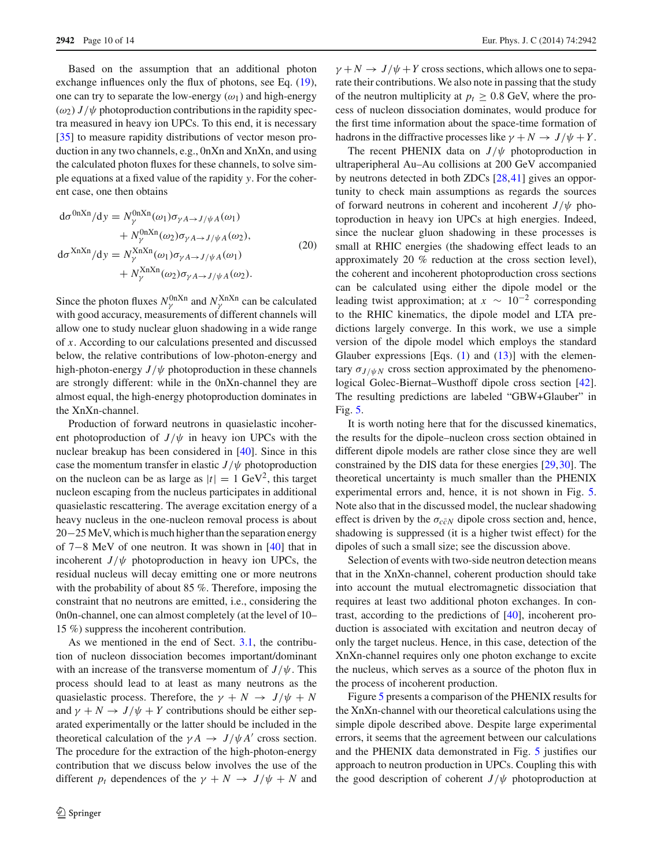Based on the assumption that an additional photon exchange influences only the flux of photons, see Eq. [\(19\)](#page-8-1), one can try to separate the low-energy  $(\omega_1)$  and high-energy  $(\omega_2) J/\psi$  photoproduction contributions in the rapidity spectra measured in heavy ion UPCs. To this end, it is necessary [\[35](#page-13-25)] to measure rapidity distributions of vector meson production in any two channels, e.g., 0nXn and XnXn, and using the calculated photon fluxes for these channels, to solve simple equations at a fixed value of the rapidity *y*. For the coherent case, one then obtains

<span id="page-9-0"></span>
$$
d\sigma^{0nXn}/dy = N_{\gamma}^{0nXn}(\omega_1)\sigma_{\gamma A \to J/\psi A}(\omega_1)
$$
  
+  $N_{\gamma}^{0nXn}(\omega_2)\sigma_{\gamma A \to J/\psi A}(\omega_2),$   

$$
d\sigma^{XnXn}/dy = N_{\gamma}^{XnXn}(\omega_1)\sigma_{\gamma A \to J/\psi A}(\omega_1)
$$
  
+  $N_{\gamma}^{XnXn}(\omega_2)\sigma_{\gamma A \to J/\psi A}(\omega_2).$  (20)

Since the photon fluxes  $N_{\gamma}^{0nXn}$  and  $N_{\gamma}^{XnXn}$  can be calculated with good accuracy, measurements of different channels will allow one to study nuclear gluon shadowing in a wide range of *x*. According to our calculations presented and discussed below, the relative contributions of low-photon-energy and high-photon-energy  $J/\psi$  photoproduction in these channels are strongly different: while in the 0nXn-channel they are almost equal, the high-energy photoproduction dominates in the XnXn-channel.

Production of forward neutrons in quasielastic incoherent photoproduction of  $J/\psi$  in heavy ion UPCs with the nuclear breakup has been considered in [\[40\]](#page-13-30). Since in this case the momentum transfer in elastic  $J/\psi$  photoproduction on the nucleon can be as large as  $|t| = 1$  GeV<sup>2</sup>, this target nucleon escaping from the nucleus participates in additional quasielastic rescattering. The average excitation energy of a heavy nucleus in the one-nucleon removal process is about 20−25MeV, which is much higher than the separation energy of 7−8 MeV of one neutron. It was shown in [\[40](#page-13-30)] that in incoherent  $J/\psi$  photoproduction in heavy ion UPCs, the residual nucleus will decay emitting one or more neutrons with the probability of about 85 %. Therefore, imposing the constraint that no neutrons are emitted, i.e., considering the 0n0n-channel, one can almost completely (at the level of 10– 15 %) suppress the incoherent contribution.

As we mentioned in the end of Sect. [3.1,](#page-6-5) the contribution of nucleon dissociation becomes important/dominant with an increase of the transverse momentum of  $J/\psi$ . This process should lead to at least as many neutrons as the quasielastic process. Therefore, the  $\gamma + N \rightarrow J/\psi + N$ and  $\gamma + N \rightarrow J/\psi + Y$  contributions should be either separated experimentally or the latter should be included in the theoretical calculation of the  $\gamma A \rightarrow J/\psi A'$  cross section. The procedure for the extraction of the high-photon-energy contribution that we discuss below involves the use of the different  $p_t$  dependences of the  $\gamma + N \rightarrow J/\psi + N$  and

 $\gamma + N \rightarrow J/\psi + Y$  cross sections, which allows one to separate their contributions. We also note in passing that the study of the neutron multiplicity at  $p_t > 0.8$  GeV, where the process of nucleon dissociation dominates, would produce for the first time information about the space-time formation of hadrons in the diffractive processes like  $\gamma + N \rightarrow J/\psi + Y$ .

The recent PHENIX data on  $J/\psi$  photoproduction in ultraperipheral Au–Au collisions at 200 GeV accompanied by neutrons detected in both ZDCs [\[28](#page-13-18)[,41](#page-13-31)] gives an opportunity to check main assumptions as regards the sources of forward neutrons in coherent and incoherent  $J/\psi$  photoproduction in heavy ion UPCs at high energies. Indeed, since the nuclear gluon shadowing in these processes is small at RHIC energies (the shadowing effect leads to an approximately 20 % reduction at the cross section level), the coherent and incoherent photoproduction cross sections can be calculated using either the dipole model or the leading twist approximation; at  $x \sim 10^{-2}$  corresponding to the RHIC kinematics, the dipole model and LTA predictions largely converge. In this work, we use a simple version of the dipole model which employs the standard Glauber expressions [Eqs.  $(1)$  and  $(13)$ ] with the elementary  $\sigma_{J/\psi N}$  cross section approximated by the phenomenological Golec-Biernat–Wusthoff dipole cross section [\[42](#page-13-32)]. The resulting predictions are labeled "GBW+Glauber" in Fig. [5.](#page-10-0)

It is worth noting here that for the discussed kinematics, the results for the dipole–nucleon cross section obtained in different dipole models are rather close since they are well constrained by the DIS data for these energies [\[29](#page-13-19)[,30](#page-13-20)]. The theoretical uncertainty is much smaller than the PHENIX experimental errors and, hence, it is not shown in Fig. [5.](#page-10-0) Note also that in the discussed model, the nuclear shadowing effect is driven by the  $\sigma_{c\bar{c}N}$  dipole cross section and, hence, shadowing is suppressed (it is a higher twist effect) for the dipoles of such a small size; see the discussion above.

Selection of events with two-side neutron detection means that in the XnXn-channel, coherent production should take into account the mutual electromagnetic dissociation that requires at least two additional photon exchanges. In contrast, according to the predictions of [\[40\]](#page-13-30), incoherent production is associated with excitation and neutron decay of only the target nucleus. Hence, in this case, detection of the XnXn-channel requires only one photon exchange to excite the nucleus, which serves as a source of the photon flux in the process of incoherent production.

Figure [5](#page-10-0) presents a comparison of the PHENIX results for the XnXn-channel with our theoretical calculations using the simple dipole described above. Despite large experimental errors, it seems that the agreement between our calculations and the PHENIX data demonstrated in Fig. [5](#page-10-0) justifies our approach to neutron production in UPCs. Coupling this with the good description of coherent  $J/\psi$  photoproduction at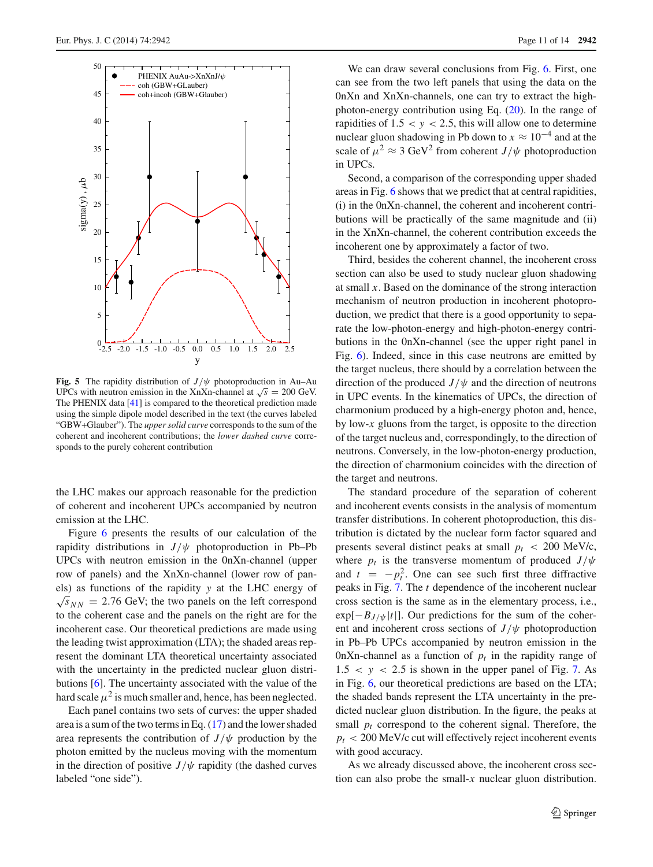

<span id="page-10-0"></span>**Fig. 5** The rapidity distribution of  $J/\psi$  photoproduction in Au–Au UPCs with neutron emission in the XnXn-channel at  $\sqrt{s} = 200$  GeV. The PHENIX data [\[41](#page-13-31)] is compared to the theoretical prediction made using the simple dipole model described in the text (the curves labeled "GBW+Glauber"). The *upper solid curve* corresponds to the sum of the coherent and incoherent contributions; the *lower dashed curve* corresponds to the purely coherent contribution

the LHC makes our approach reasonable for the prediction of coherent and incoherent UPCs accompanied by neutron emission at the LHC.

Figure [6](#page-11-1) presents the results of our calculation of the rapidity distributions in  $J/\psi$  photoproduction in Pb–Pb UPCs with neutron emission in the 0nXn-channel (upper row of panels) and the XnXn-channel (lower row of panels) as functions of the rapidity *y* at the LHC energy of  $\sqrt{s}_{NN}$  = 2.76 GeV; the two panels on the left correspond to the coherent case and the panels on the right are for the incoherent case. Our theoretical predictions are made using the leading twist approximation (LTA); the shaded areas represent the dominant LTA theoretical uncertainty associated with the uncertainty in the predicted nuclear gluon distributions [\[6\]](#page-12-5). The uncertainty associated with the value of the hard scale  $\mu^2$  is much smaller and, hence, has been neglected.

Each panel contains two sets of curves: the upper shaded area is a sum of the two terms in Eq. [\(17\)](#page-6-4) and the lower shaded area represents the contribution of  $J/\psi$  production by the photon emitted by the nucleus moving with the momentum in the direction of positive  $J/\psi$  rapidity (the dashed curves labeled "one side").

We can draw several conclusions from Fig. [6.](#page-11-1) First, one can see from the two left panels that using the data on the 0nXn and XnXn-channels, one can try to extract the highphoton-energy contribution using Eq. [\(20\)](#page-9-0). In the range of rapidities of  $1.5 < y < 2.5$ , this will allow one to determine nuclear gluon shadowing in Pb down to  $x \approx 10^{-4}$  and at the scale of  $\mu^2 \approx 3$  GeV<sup>2</sup> from coherent *J*/ $\psi$  photoproduction in UPCs.

Second, a comparison of the corresponding upper shaded areas in Fig. [6](#page-11-1) shows that we predict that at central rapidities, (i) in the 0nXn-channel, the coherent and incoherent contributions will be practically of the same magnitude and (ii) in the XnXn-channel, the coherent contribution exceeds the incoherent one by approximately a factor of two.

Third, besides the coherent channel, the incoherent cross section can also be used to study nuclear gluon shadowing at small *x*. Based on the dominance of the strong interaction mechanism of neutron production in incoherent photoproduction, we predict that there is a good opportunity to separate the low-photon-energy and high-photon-energy contributions in the 0nXn-channel (see the upper right panel in Fig. [6\)](#page-11-1). Indeed, since in this case neutrons are emitted by the target nucleus, there should by a correlation between the direction of the produced  $J/\psi$  and the direction of neutrons in UPC events. In the kinematics of UPCs, the direction of charmonium produced by a high-energy photon and, hence, by low-*x* gluons from the target, is opposite to the direction of the target nucleus and, correspondingly, to the direction of neutrons. Conversely, in the low-photon-energy production, the direction of charmonium coincides with the direction of the target and neutrons.

The standard procedure of the separation of coherent and incoherent events consists in the analysis of momentum transfer distributions. In coherent photoproduction, this distribution is dictated by the nuclear form factor squared and presents several distinct peaks at small *pt* < 200 MeV/c, where  $p_t$  is the transverse momentum of produced  $J/\psi$ and  $t = -p_t^2$ . One can see such first three diffractive peaks in Fig. [7.](#page-12-10) The *t* dependence of the incoherent nuclear cross section is the same as in the elementary process, i.e.,  $\exp[-B_J/\psi|t|]$ . Our predictions for the sum of the coherent and incoherent cross sections of  $J/\psi$  photoproduction in Pb–Pb UPCs accompanied by neutron emission in the 0nXn-channel as a function of  $p_t$  in the rapidity range of  $1.5 < y < 2.5$  is shown in the upper panel of Fig. [7.](#page-12-10) As in Fig. [6,](#page-11-1) our theoretical predictions are based on the LTA; the shaded bands represent the LTA uncertainty in the predicted nuclear gluon distribution. In the figure, the peaks at small  $p_t$  correspond to the coherent signal. Therefore, the  $p_t$  < 200 MeV/c cut will effectively reject incoherent events with good accuracy.

As we already discussed above, the incoherent cross section can also probe the small-*x* nuclear gluon distribution.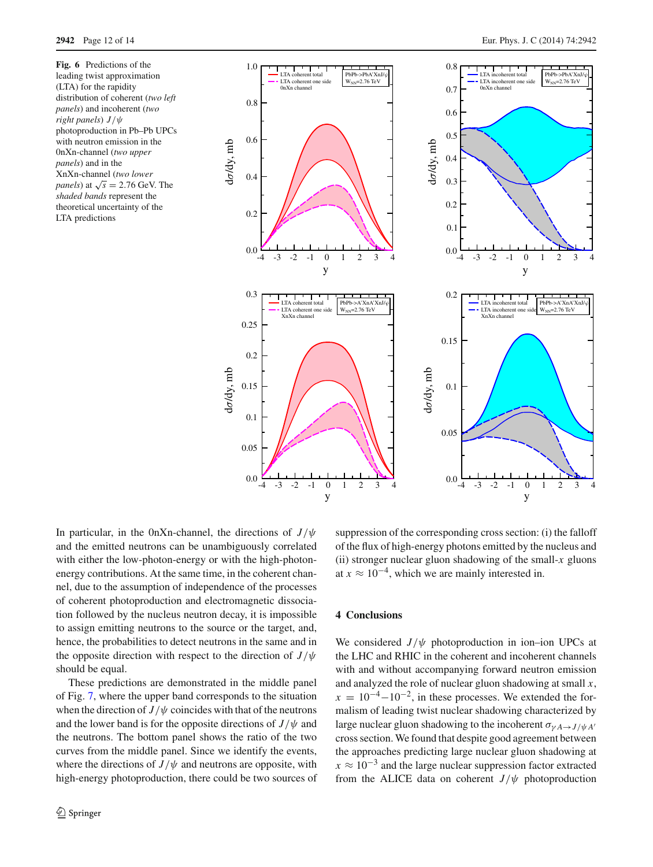<span id="page-11-1"></span>**Fig. 6** Predictions of the leading twist approximation (LTA) for the rapidity distribution of coherent (*two left panels*) and incoherent (*two right panels*) *J*/ψ photoproduction in Pb–Pb UPCs with neutron emission in the 0nXn-channel (*two upper panels*) and in the XnXn-channel (*two lower panels*) at  $\sqrt{s}$  = 2.76 GeV. The *shaded bands* represent the theoretical uncertainty of the LTA predictions



In particular, in the 0nXn-channel, the directions of  $J/\psi$ and the emitted neutrons can be unambiguously correlated with either the low-photon-energy or with the high-photonenergy contributions. At the same time, in the coherent channel, due to the assumption of independence of the processes of coherent photoproduction and electromagnetic dissociation followed by the nucleus neutron decay, it is impossible to assign emitting neutrons to the source or the target, and, hence, the probabilities to detect neutrons in the same and in the opposite direction with respect to the direction of  $J/\psi$ should be equal.

These predictions are demonstrated in the middle panel of Fig. [7,](#page-12-10) where the upper band corresponds to the situation when the direction of  $J/\psi$  coincides with that of the neutrons and the lower band is for the opposite directions of  $J/\psi$  and the neutrons. The bottom panel shows the ratio of the two curves from the middle panel. Since we identify the events, where the directions of  $J/\psi$  and neutrons are opposite, with high-energy photoproduction, there could be two sources of

suppression of the corresponding cross section: (i) the falloff of the flux of high-energy photons emitted by the nucleus and (ii) stronger nuclear gluon shadowing of the small-*x* gluons at  $x \approx 10^{-4}$ , which we are mainly interested in.

#### <span id="page-11-0"></span>**4 Conclusions**

We considered  $J/\psi$  photoproduction in ion–ion UPCs at the LHC and RHIC in the coherent and incoherent channels with and without accompanying forward neutron emission and analyzed the role of nuclear gluon shadowing at small *x*,  $x = 10^{-4} - 10^{-2}$ , in these processes. We extended the formalism of leading twist nuclear shadowing characterized by large nuclear gluon shadowing to the incoherent  $\sigma_{\gamma A \to J/\psi A'}$ cross section. We found that despite good agreement between the approaches predicting large nuclear gluon shadowing at  $x \approx 10^{-3}$  and the large nuclear suppression factor extracted from the ALICE data on coherent  $J/\psi$  photoproduction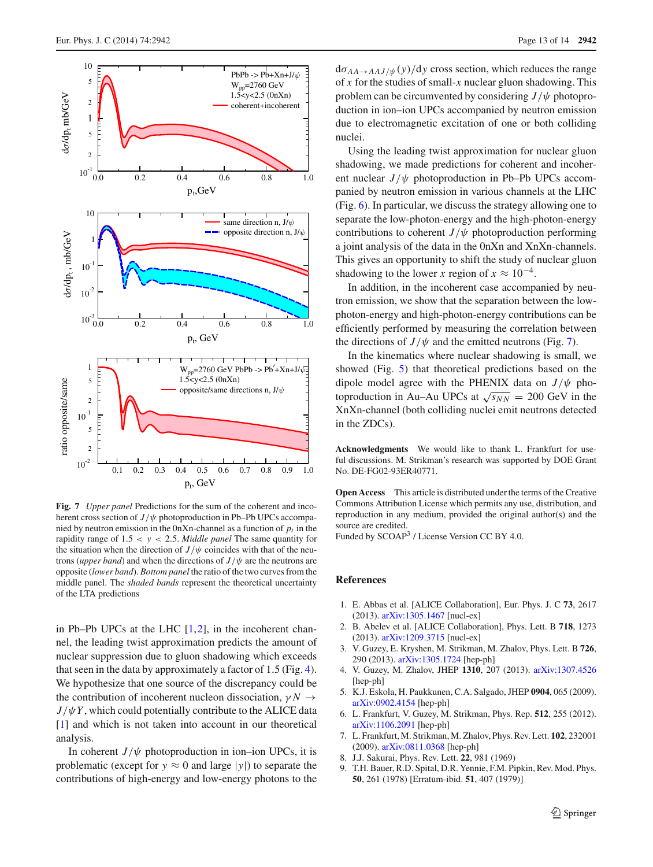

<span id="page-12-10"></span>**Fig. 7** *Upper panel* Predictions for the sum of the coherent and incoherent cross section of  $J/\psi$  photoproduction in Pb–Pb UPCs accompanied by neutron emission in the 0nXn-channel as a function of  $p_t$  in the rapidity range of 1.5 < *y* < 2.5. *Middle panel* The same quantity for the situation when the direction of  $J/\psi$  coincides with that of the neutrons (*upper band*) and when the directions of  $J/\psi$  are the neutrons are opposite (*lower band*). *Bottom panel* the ratio of the two curves from the middle panel. The *shaded bands* represent the theoretical uncertainty of the LTA predictions

in Pb–Pb UPCs at the LHC  $[1,2]$  $[1,2]$  $[1,2]$ , in the incoherent channel, the leading twist approximation predicts the amount of nuclear suppression due to gluon shadowing which exceeds that seen in the data by approximately a factor of 1.5 (Fig. [4\)](#page-7-0). We hypothesize that one source of the discrepancy could be the contribution of incoherent nucleon dissociation,  $\gamma N \rightarrow$  $J/\psi Y$ , which could potentially contribute to the ALICE data [\[1](#page-12-0)] and which is not taken into account in our theoretical analysis.

In coherent  $J/\psi$  photoproduction in ion–ion UPCs, it is problematic (except for  $y \approx 0$  and large |y|) to separate the contributions of high-energy and low-energy photons to the  $d\sigma_{AA\rightarrow AAJ/\psi}(y)/dy$  cross section, which reduces the range of *x* for the studies of small-*x* nuclear gluon shadowing. This problem can be circumvented by considering  $J/\psi$  photoproduction in ion–ion UPCs accompanied by neutron emission due to electromagnetic excitation of one or both colliding nuclei.

Using the leading twist approximation for nuclear gluon shadowing, we made predictions for coherent and incoherent nuclear  $J/\psi$  photoproduction in Pb–Pb UPCs accompanied by neutron emission in various channels at the LHC (Fig. [6\)](#page-11-1). In particular, we discuss the strategy allowing one to separate the low-photon-energy and the high-photon-energy contributions to coherent  $J/\psi$  photoproduction performing a joint analysis of the data in the 0nXn and XnXn-channels. This gives an opportunity to shift the study of nuclear gluon shadowing to the lower *x* region of  $x \approx 10^{-4}$ .

In addition, in the incoherent case accompanied by neutron emission, we show that the separation between the lowphoton-energy and high-photon-energy contributions can be efficiently performed by measuring the correlation between the directions of  $J/\psi$  and the emitted neutrons (Fig. [7\)](#page-12-10).

In the kinematics where nuclear shadowing is small, we showed (Fig. [5\)](#page-10-0) that theoretical predictions based on the dipole model agree with the PHENIX data on  $J/\psi$  photoproduction in Au–Au UPCs at  $\sqrt{s_{NN}}$  = 200 GeV in the XnXn-channel (both colliding nuclei emit neutrons detected in the ZDCs).

**Acknowledgments** We would like to thank L. Frankfurt for useful discussions. M. Strikman's research was supported by DOE Grant No. DE-FG02-93ER40771.

**Open Access** This article is distributed under the terms of the Creative Commons Attribution License which permits any use, distribution, and reproduction in any medium, provided the original author(s) and the source are credited.

Funded by SCOAP<sup>3</sup> / License Version CC BY 4.0.

#### <span id="page-12-7"></span>**References**

- <span id="page-12-0"></span>1. E. Abbas et al. [ALICE Collaboration], Eur. Phys. J. C **73**, 2617 (2013). [arXiv:1305.1467](http://arxiv.org/abs/1305.1467) [nucl-ex]
- <span id="page-12-1"></span>2. B. Abelev et al. [ALICE Collaboration], Phys. Lett. B **718**, 1273 (2013). [arXiv:1209.3715](http://arxiv.org/abs/1209.3715) [nucl-ex]
- <span id="page-12-2"></span>3. V. Guzey, E. Kryshen, M. Strikman, M. Zhalov, Phys. Lett. B **726**, 290 (2013). [arXiv:1305.1724](http://arxiv.org/abs/1305.1724) [hep-ph]
- <span id="page-12-3"></span>4. V. Guzey, M. Zhalov, JHEP **1310**, 207 (2013). [arXiv:1307.4526](http://arxiv.org/abs/1307.4526) [hep-ph]
- <span id="page-12-4"></span>5. K.J. Eskola, H. Paukkunen, C.A. Salgado, JHEP **0904**, 065 (2009). [arXiv:0902.4154](http://arxiv.org/abs/0902.4154) [hep-ph]
- <span id="page-12-5"></span>6. L. Frankfurt, V. Guzey, M. Strikman, Phys. Rep. **512**, 255 (2012). [arXiv:1106.2091](http://arxiv.org/abs/1106.2091) [hep-ph]
- <span id="page-12-6"></span>7. L. Frankfurt, M. Strikman, M. Zhalov, Phys. Rev. Lett. **102**, 232001 (2009). [arXiv:0811.0368](http://arxiv.org/abs/0811.0368) [hep-ph]
- <span id="page-12-8"></span>8. J.J. Sakurai, Phys. Rev. Lett. **22**, 981 (1969)
- <span id="page-12-9"></span>9. T.H. Bauer, R.D. Spital, D.R. Yennie, F.M. Pipkin, Rev. Mod. Phys. **50**, 261 (1978) [Erratum-ibid. **51**, 407 (1979)]